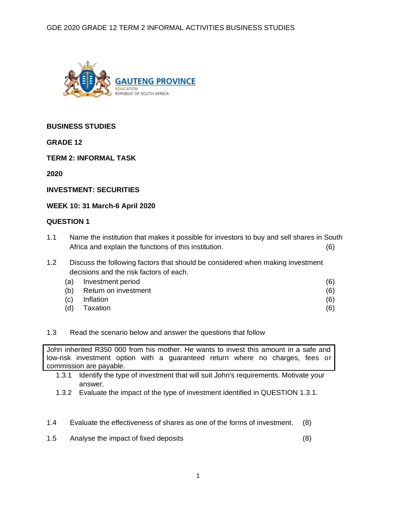

# **BUSINESS STUDIES**

**GRADE 12**

**TERM 2: INFORMAL TASK**

**2020**

**INVESTMENT: SECURITIES** 

**WEEK 10: 31 March-6 April 2020**

# **QUESTION 1**

- 1.1 Name the institution that makes it possible for investors to buy and sell shares in South Africa and explain the functions of this institution. (6)
- 1.2 Discuss the following factors that should be considered when making investment decisions and the risk factors of each.

| (a) | Investment period    | (6) |
|-----|----------------------|-----|
| (b) | Return on investment | (6) |
| (c) | Inflation            | (6) |
| (d) | Taxation             | (6) |

# 1.3 Read the scenario below and answer the questions that follow

John inherited R350 000 from his mother. He wants to invest this amount in a safe and low-risk investment option with a guaranteed return where no charges, fees or commission are payable.

- 1.3.1 Identify the type of investment that will suit John's requirements. Motivate your answer.
- 1.3.2 Evaluate the impact of the type of investment identified in QUESTION 1.3.1.
- 1.4 Evaluate the effectiveness of shares as one of the forms of investment. (8)
- 1.5 Analyse the impact of fixed deposits (8)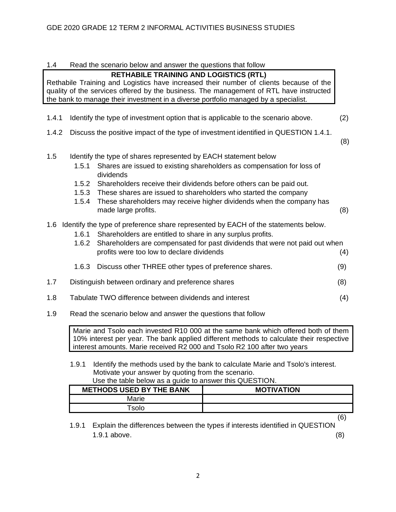| 1.4   |                                  | Read the scenario below and answer the questions that follow                                                                                                                                                                                                                                                                                                                                    |     |
|-------|----------------------------------|-------------------------------------------------------------------------------------------------------------------------------------------------------------------------------------------------------------------------------------------------------------------------------------------------------------------------------------------------------------------------------------------------|-----|
|       |                                  | <b>RETHABILE TRAINING AND LOGISTICS (RTL)</b><br>Rethabile Training and Logistics have increased their number of clients because of the<br>quality of the services offered by the business. The management of RTL have instructed<br>the bank to manage their investment in a diverse portfolio managed by a specialist.                                                                        |     |
| 1.4.1 |                                  | Identify the type of investment option that is applicable to the scenario above.                                                                                                                                                                                                                                                                                                                | (2) |
| 1.4.2 |                                  | Discuss the positive impact of the type of investment identified in QUESTION 1.4.1.                                                                                                                                                                                                                                                                                                             | (8) |
| 1.5   | 1.5.1<br>1.5.2<br>1.5.3<br>1.5.4 | Identify the type of shares represented by EACH statement below<br>Shares are issued to existing shareholders as compensation for loss of<br>dividends<br>Shareholders receive their dividends before others can be paid out.<br>These shares are issued to shareholders who started the company<br>These shareholders may receive higher dividends when the company has<br>made large profits. | (8) |
|       | 1.6.1<br>1.6.2                   | 1.6 Identify the type of preference share represented by EACH of the statements below.<br>Shareholders are entitled to share in any surplus profits.<br>Shareholders are compensated for past dividends that were not paid out when<br>profits were too low to declare dividends                                                                                                                | (4) |
|       | 1.6.3                            | Discuss other THREE other types of preference shares.                                                                                                                                                                                                                                                                                                                                           | (9) |
| 1.7   |                                  | Distinguish between ordinary and preference shares                                                                                                                                                                                                                                                                                                                                              | (8) |
| 1.8   |                                  | Tabulate TWO difference between dividends and interest                                                                                                                                                                                                                                                                                                                                          | (4) |
| 1.9   |                                  | Read the scenario below and answer the questions that follow                                                                                                                                                                                                                                                                                                                                    |     |
|       |                                  | Marie and Tsolo each invested R10 000 at the same bank which offered both of them<br>10% interest per year. The bank applied different methods to calculate their respective<br>interest amounts. Marie received R2 000 and Tsolo R2 100 after two years                                                                                                                                        |     |

1.9.1 Identify the methods used by the bank to calculate Marie and Tsolo's interest. Motivate your answer by quoting from the scenario.<br>Use the table below as a quide to answer this OUES Use the table below as a guide to answer this QUESTION.

| Use the table below as a quide to answer this QUESTION. |                   |
|---------------------------------------------------------|-------------------|
| <b>METHODS USED BY THE BANK</b>                         | <b>MOTIVATION</b> |
| Marie                                                   |                   |
| Fsolo                                                   |                   |
|                                                         |                   |

<sup>1.9.1</sup> Explain the differences between the types if interests identified in QUESTION 1.9.1 above. (8)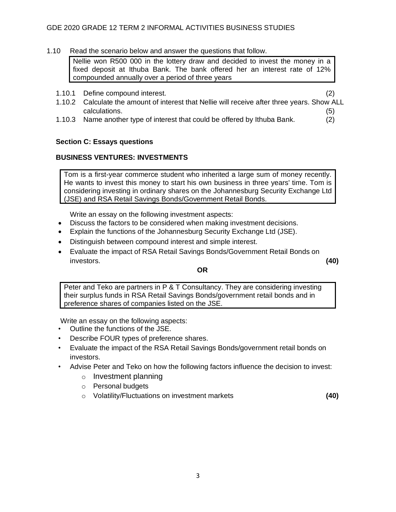1.10 Read the scenario below and answer the questions that follow.

Nellie won R500 000 in the lottery draw and decided to invest the money in a fixed deposit at Ithuba Bank. The bank offered her an interest rate of 12% compounded annually over a period of three years

1.10.1 Define compound interest. (2)

- 1.10.2 Calculate the amount of interest that Nellie will receive after three years. Show ALL calculations. (5) (5)
- 1.10.3 Name another type of interest that could be offered by Ithuba Bank. (2)

# **Section C: Essays questions**

# **BUSINESS VENTURES: INVESTMENTS**

Tom is a first-year commerce student who inherited a large sum of money recently. He wants to invest this money to start his own business in three years' time. Tom is considering investing in ordinary shares on the Johannesburg Security Exchange Ltd (JSE) and RSA Retail Savings Bonds/Government Retail Bonds.

Write an essay on the following investment aspects:

- Discuss the factors to be considered when making investment decisions.
- Explain the functions of the Johannesburg Security Exchange Ltd (JSE).
- Distinguish between compound interest and simple interest.
- Evaluate the impact of RSA Retail Savings Bonds/Government Retail Bonds on investors. **(40)**

# **OR**

Peter and Teko are partners in P & T Consultancy. They are considering investing their surplus funds in RSA Retail Savings Bonds/government retail bonds and in preference shares of companies listed on the JSE.

Write an essay on the following aspects:

- Outline the functions of the JSE.
- Describe FOUR types of preference shares.
- Evaluate the impact of the RSA Retail Savings Bonds/government retail bonds on investors.
- Advise Peter and Teko on how the following factors influence the decision to invest:
	- o Investment planning
	- o Personal budgets
	- o Volatility/Fluctuations on investment markets **(40)**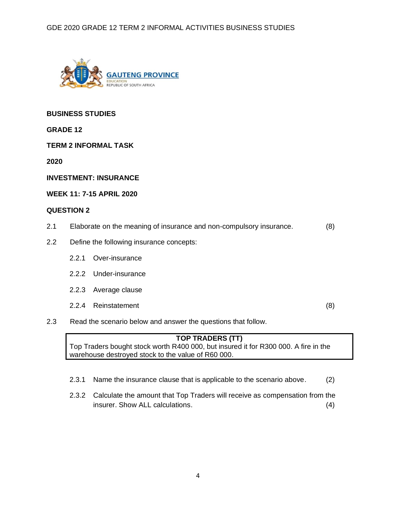

# **BUSINESS STUDIES**

**GRADE 12**

**TERM 2 INFORMAL TASK**

**2020** 

**INVESTMENT: INSURANCE** 

### **WEEK 11: 7-15 APRIL 2020**

#### **QUESTION 2**

- 2.1 Elaborate on the meaning of insurance and non-compulsory insurance. (8)
- 2.2 Define the following insurance concepts:
	- 2.2.1 Over-insurance
	- 2.2.2 Under-insurance
	- 2.2.3 Average clause
	- 2.2.4 Reinstatement (8)

2.3 Read the scenario below and answer the questions that follow.

# **TOP TRADERS (TT)**

Top Traders bought stock worth R400 000, but insured it for R300 000. A fire in the warehouse destroyed stock to the value of R60 000.

- 2.3.1 Name the insurance clause that is applicable to the scenario above. (2)
- 2.3.2 Calculate the amount that Top Traders will receive as compensation from the insurer. Show ALL calculations. (4)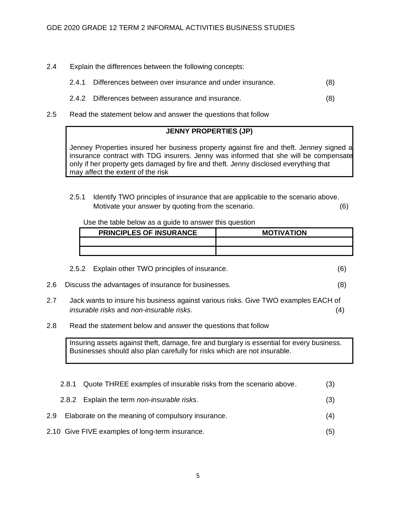- 2.4 Explain the differences between the following concepts:
	- 2.4.1 Differences between over insurance and under insurance. (8)
	- 2.4.2 Differences between assurance and insurance. (8)
- 2.5 Read the statement below and answer the questions that follow

# **JENNY PROPERTIES (JP)**

Jenney Properties insured her business property against fire and theft. Jenney signed a insurance contract with TDG insurers. Jenny was informed that she will be compensate only if her property gets damaged by fire and theft. Jenny disclosed everything that may affect the extent of the risk

2.5.1 Identify TWO principles of insurance that are applicable to the scenario above. Motivate your answer by quoting from the scenario. (6)

Use the table below as a guide to answer this question

| <b>PRINCIPLES OF INSURANCE</b> | <b>MOTIVATION</b> |
|--------------------------------|-------------------|
|                                |                   |
|                                |                   |

|     | 2.5.2 Explain other TWO principles of insurance.    |  |
|-----|-----------------------------------------------------|--|
| 2.6 | Discuss the advantages of insurance for businesses. |  |

- 2.7 Jack wants to insure his business against various risks. Give TWO examples EACH of *insurable risks* and *non-insurable risks*. (4)
- 2.8 Read the statement below and answer the questions that follow

Insuring assets against theft, damage, fire and burglary is essential for every business. Businesses should also plan carefully for risks which are not insurable.

|     | 2.8.1 | Quote THREE examples of insurable risks from the scenario above. | (3) |
|-----|-------|------------------------------------------------------------------|-----|
|     |       | 2.8.2 Explain the term non-insurable risks.                      | (3) |
| 2.9 |       | Elaborate on the meaning of compulsory insurance.                | (4) |
|     |       |                                                                  |     |

2.10 Give FIVE examples of long-term insurance. (5)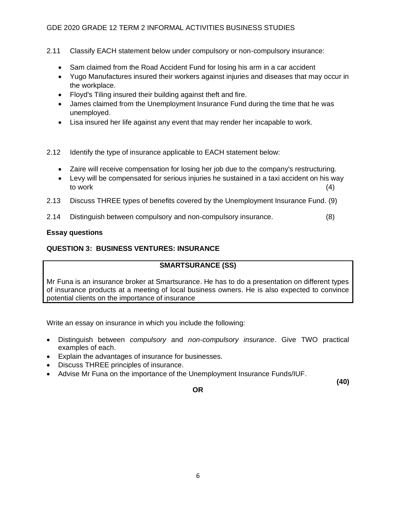# GDE 2020 GRADE 12 TERM 2 INFORMAL ACTIVITIES BUSINESS STUDIES

- 2.11 Classify EACH statement below under compulsory or non-compulsory insurance:
	- Sam claimed from the Road Accident Fund for losing his arm in a car accident
	- Yugo Manufactures insured their workers against injuries and diseases that may occur in the workplace.
	- Floyd's Tiling insured their building against theft and fire.
	- James claimed from the Unemployment Insurance Fund during the time that he was unemployed.
	- Lisa insured her life against any event that may render her incapable to work.
- 2.12 Identify the type of insurance applicable to EACH statement below:
	- Zaire will receive compensation for losing her job due to the company's restructuring.
	- Levy will be compensated for serious injuries he sustained in a taxi accident on his way to work (4)
- 2.13 Discuss THREE types of benefits covered by the Unemployment Insurance Fund. (9)
- 2.14 Distinguish between compulsory and non-compulsory insurance. (8)

### **Essay questions**

# **QUESTION 3: BUSINESS VENTURES: INSURANCE**

# **SMARTSURANCE (SS)**

Mr Funa is an insurance broker at Smartsurance. He has to do a presentation on different types of insurance products at a meeting of local business owners. He is also expected to convince potential clients on the importance of insurance

Write an essay on insurance in which you include the following:

- Distinguish between *compulsory* and *non-compulsory insurance*. Give TWO practical examples of each.
- Explain the advantages of insurance for businesses.
- Discuss THREE principles of insurance.
- Advise Mr Funa on the importance of the Unemployment Insurance Funds/IUF.

**OR**

**(40)**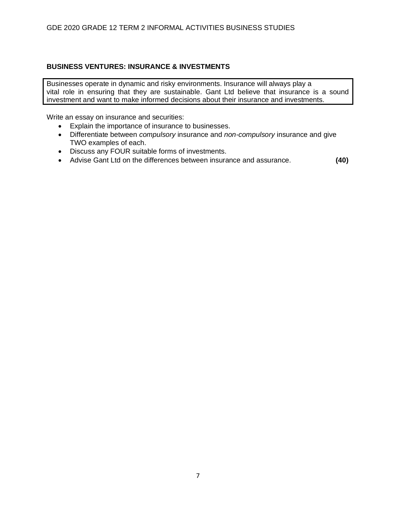# **BUSINESS VENTURES: INSURANCE & INVESTMENTS**

Businesses operate in dynamic and risky environments. Insurance will always play a vital role in ensuring that they are sustainable. Gant Ltd believe that insurance is a sound investment and want to make informed decisions about their insurance and investments.

Write an essay on insurance and securities:

- Explain the importance of insurance to businesses.
- Differentiate between *compulsory* insurance and *non-compulsory* insurance and give TWO examples of each.
- Discuss any FOUR suitable forms of investments.
- Advise Gant Ltd on the differences between insurance and assurance. **(40)**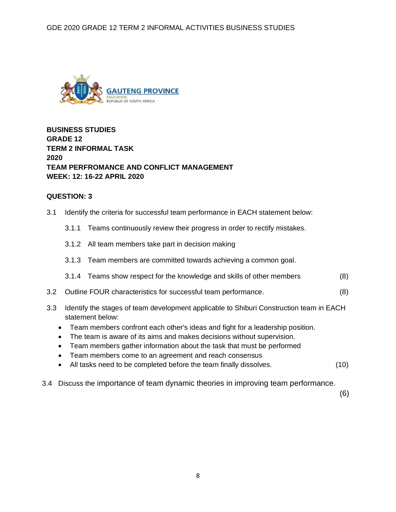

**BUSINESS STUDIES GRADE 12 TERM 2 INFORMAL TASK 2020 TEAM PERFROMANCE AND CONFLICT MANAGEMENT WEEK: 12: 16-22 APRIL 2020**

### **QUESTION: 3**

- 3.1 Identify the criteria for successful team performance in EACH statement below:
	- 3.1.1 Teams continuously review their progress in order to rectify mistakes.
	- 3.1.2 All team members take part in decision making
	- 3.1.3 Team members are committed towards achieving a common goal.
	- 3.1.4 Teams show respect for the knowledge and skills of other members (8)
- 3.2 Outline FOUR characteristics for successful team performance. (8)
- 3.3 Identify the stages of team development applicable to Shiburi Construction team in EACH statement below:
	- Team members confront each other's ideas and fight for a leadership position.
	- The team is aware of its aims and makes decisions without supervision.
	- Team members gather information about the task that must be performed
	- Team members come to an agreement and reach consensus
	- All tasks need to be completed before the team finally dissolves. (10)
- 3.4 Discuss the importance of team dynamic theories in improving team performance.

(6)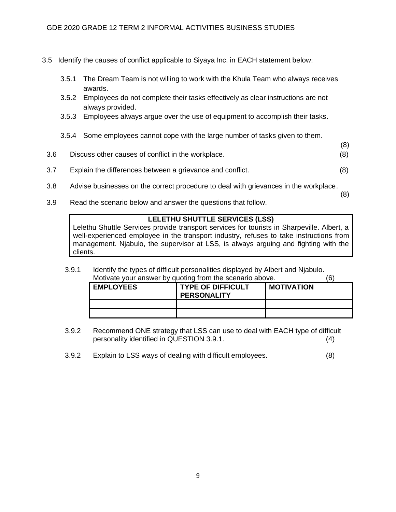- 3.5 Identify the causes of conflict applicable to Siyaya Inc. in EACH statement below:
	- 3.5.1 The Dream Team is not willing to work with the Khula Team who always receives awards.
	- 3.5.2 Employees do not complete their tasks effectively as clear instructions are not always provided.
	- 3.5.3 Employees always argue over the use of equipment to accomplish their tasks.
	- 3.5.4 Some employees cannot cope with the large number of tasks given to them.
- (8) 3.6 Discuss other causes of conflict in the workplace. (8)
- 3.7 Explain the differences between a grievance and conflict. (8)
- 3.8 Advise businesses on the correct procedure to deal with grievances in the workplace.
- 3.9 Read the scenario below and answer the questions that follow.

# **LELETHU SHUTTLE SERVICES (LSS)**

(8)

Lelethu Shuttle Services provide transport services for tourists in Sharpeville. Albert, a well-experienced employee in the transport industry, refuses to take instructions from management. Njabulo, the supervisor at LSS, is always arguing and fighting with the clients.

3.9.1 Identify the types of difficult personalities displayed by Albert and Njabulo. Motivate your answer by quoting from the scenario above. (6)

| <b>EMPLOYEES</b> | <b>TYPE OF DIFFICULT</b><br><b>PERSONALITY</b> | <b>MOTIVATION</b> |
|------------------|------------------------------------------------|-------------------|
|                  |                                                |                   |
|                  |                                                |                   |

- 3.9.2 Recommend ONE strategy that LSS can use to deal with EACH type of difficult personality identified in QUESTION 3.9.1. (4)
- 3.9.2 Explain to LSS ways of dealing with difficult employees. (8)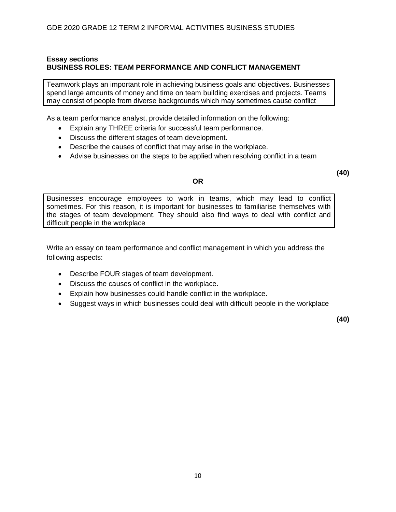# **Essay sections BUSINESS ROLES: TEAM PERFORMANCE AND CONFLICT MANAGEMENT**

Teamwork plays an important role in achieving business goals and objectives. Businesses spend large amounts of money and time on team building exercises and projects. Teams may consist of people from diverse backgrounds which may sometimes cause conflict

As a team performance analyst, provide detailed information on the following:

- Explain any THREE criteria for successful team performance.
- Discuss the different stages of team development.
- Describe the causes of conflict that may arise in the workplace.
- Advise businesses on the steps to be applied when resolving conflict in a team

### **OR**

**(40)**

Businesses encourage employees to work in teams, which may lead to conflict sometimes. For this reason, it is important for businesses to familiarise themselves with the stages of team development. They should also find ways to deal with conflict and difficult people in the workplace

Write an essay on team performance and conflict management in which you address the following aspects:

- Describe FOUR stages of team development.
- Discuss the causes of conflict in the workplace.
- Explain how businesses could handle conflict in the workplace.
- Suggest ways in which businesses could deal with difficult people in the workplace

**(40)**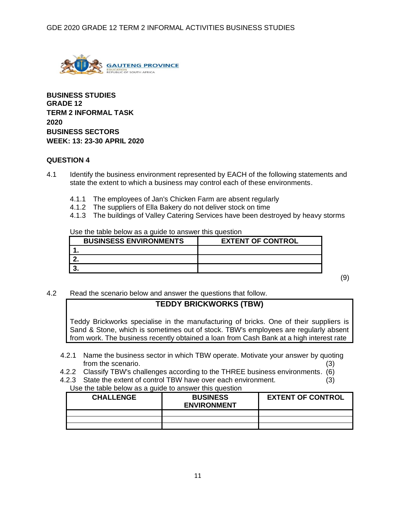

**BUSINESS STUDIES GRADE 12 TERM 2 INFORMAL TASK 2020 BUSINESS SECTORS WEEK: 13: 23-30 APRIL 2020**

# **QUESTION 4**

- 4.1 Identify the business environment represented by EACH of the following statements and state the extent to which a business may control each of these environments.
	- 4.1.1 The employees of Jan's Chicken Farm are absent regularly
	- 4.1.2 The suppliers of Ella Bakery do not deliver stock on time
	- 4.1.3 The buildings of Valley Catering Services have been destroyed by heavy storms

Use the table below as a guide to answer this question

| <b>BUSINSESS ENVIRONMENTS</b> | <b>EXTENT OF CONTROL</b> |
|-------------------------------|--------------------------|
|                               |                          |
|                               |                          |
|                               |                          |

(9)

4.2 Read the scenario below and answer the questions that follow.

# **TEDDY BRICKWORKS (TBW)**

Teddy Brickworks specialise in the manufacturing of bricks. One of their suppliers is Sand & Stone, which is sometimes out of stock. TBW's employees are regularly absent from work. The business recently obtained a loan from Cash Bank at a high interest rate

- 4.2.1 Name the business sector in which TBW operate. Motivate your answer by quoting from the scenario. (3) (3)
- 4.2.2 Classify TBW's challenges according to the THREE business environments. (6)
- 4.2.3 State the extent of control TBW have over each environment. (3)

| Use the table below as a guide to answer this question |
|--------------------------------------------------------|
|--------------------------------------------------------|

| <b>CHALLENGE</b> | <b>BUSINESS</b><br><b>ENVIRONMENT</b> | <b>EXTENT OF CONTROL</b> |
|------------------|---------------------------------------|--------------------------|
|                  |                                       |                          |
|                  |                                       |                          |
|                  |                                       |                          |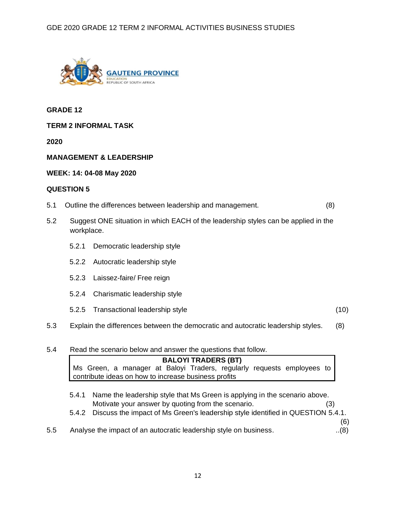

**GRADE 12**

**TERM 2 INFORMAL TASK**

**2020**

# **MANAGEMENT & LEADERSHIP**

### **WEEK: 14: 04-08 May 2020**

### **QUESTION 5**

- 5.1 Outline the differences between leadership and management. (8)
- 5.2 Suggest ONE situation in which EACH of the leadership styles can be applied in the workplace.
	- 5.2.1 Democratic leadership style
	- 5.2.2 Autocratic leadership style
	- 5.2.3 Laissez-faire/ Free reign
	- 5.2.4 Charismatic leadership style
	- 5.2.5 Transactional leadership style (10)
- 5.3 Explain the differences between the democratic and autocratic leadership styles. (8)

### 5.4 Read the scenario below and answer the questions that follow.

|  |                                                      |  | <b>BALOYI TRADERS (BT)</b> |  |                                                                        |  |
|--|------------------------------------------------------|--|----------------------------|--|------------------------------------------------------------------------|--|
|  |                                                      |  |                            |  | Ms Green, a manager at Baloyi Traders, regularly requests employees to |  |
|  | contribute ideas on how to increase business profits |  |                            |  |                                                                        |  |

- 5.4.1 Name the leadership style that Ms Green is applying in the scenario above. Motivate your answer by quoting from the scenario. (3)
- 5.4.2 Discuss the impact of Ms Green's leadership style identified in QUESTION 5.4.1.

(6)

5.5 Analyse the impact of an autocratic leadership style on business.  $\ldots$  (8)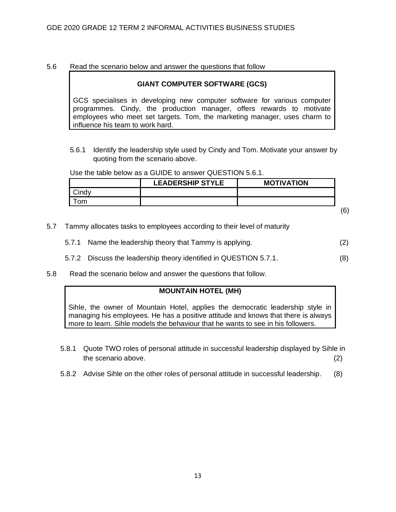### 5.6 Read the scenario below and answer the questions that follow

### **GIANT COMPUTER SOFTWARE (GCS)**

GCS specialises in developing new computer software for various computer programmes. Cindy, the production manager, offers rewards to motivate employees who meet set targets. Tom, the marketing manager, uses charm to influence his team to work hard.

5.6.1 Identify the leadership style used by Cindy and Tom. Motivate your answer by quoting from the scenario above.

Use the table below as a GUIDE to answer QUESTION 5.6.1.

| <b>LEADERSHIP STYLE</b> | <b>MOTIVATION</b> |  |
|-------------------------|-------------------|--|
|                         |                   |  |
|                         |                   |  |
|                         |                   |  |

- 5.7 Tammy allocates tasks to employees according to their level of maturity
	- 5.7.1 Name the leadership theory that Tammy is applying. (2)
	- 5.7.2 Discuss the leadership theory identified in QUESTION 5.7.1. (8)
- 5.8 Read the scenario below and answer the questions that follow.

### **MOUNTAIN HOTEL (MH)**

Sihle, the owner of Mountain Hotel, applies the democratic leadership style in managing his employees. He has a positive attitude and knows that there is always more to learn. Sihle models the behaviour that he wants to see in his followers.

- 5.8.1 Quote TWO roles of personal attitude in successful leadership displayed by Sihle in the scenario above. (2)
- 5.8.2 Advise Sihle on the other roles of personal attitude in successful leadership. (8)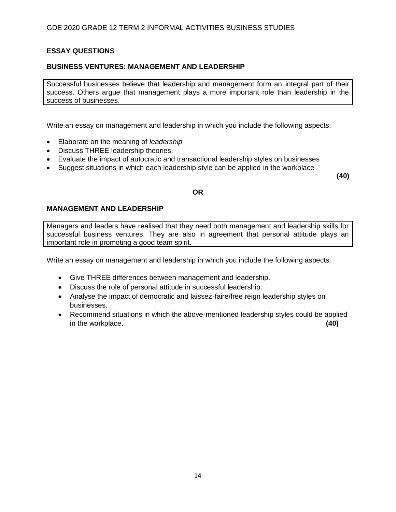# **ESSAY QUESTIONS**

# **BUSINESS VENTURES: MANAGEMENT AND LEADERSHIP**

Successful businesses believe that leadership and management form an integral part of their success. Others argue that management plays a more important role than leadership in the success of businesses.

Write an essay on management and leadership in which you include the following aspects:

- Elaborate on the meaning of *leadership*
- Discuss THREE leadership theories.
- Evaluate the impact of autocratic and transactional leadership styles on businesses
- Suggest situations in which each leadership style can be applied in the workplace

**(40)**

# **OR**

# **MANAGEMENT AND LEADERSHIP**

Managers and leaders have realised that they need both management and leadership skills for successful business ventures. They are also in agreement that personal attitude plays an important role in promoting a good team spirit.

Write an essay on management and leadership in which you include the following aspects:

- Give THREE differences between management and leadership.
- Discuss the role of personal attitude in successful leadership.
- Analyse the impact of democratic and laissez-faire/free reign leadership styles on businesses.
- Recommend situations in which the above-mentioned leadership styles could be applied in the workplace. **(40)**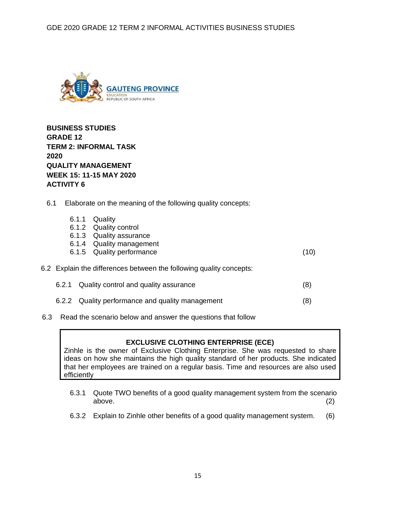

**BUSINESS STUDIES GRADE 12 TERM 2: INFORMAL TASK 2020 QUALITY MANAGEMENT WEEK 15: 11-15 MAY 2020 ACTIVITY 6**

6.1 Elaborate on the meaning of the following quality concepts:

|       | 6.1.1 Quality<br>6.1.2 Quality control<br>6.1.3 Quality assurance<br>6.1.4 Quality management<br>6.1.5 Quality performance | (10) |
|-------|----------------------------------------------------------------------------------------------------------------------------|------|
|       | 6.2 Explain the differences between the following quality concepts:                                                        |      |
| 6.2.1 | Quality control and quality assurance                                                                                      | (8)  |
|       | 6.2.2 Quality performance and quality management                                                                           | 8    |

6.3 Read the scenario below and answer the questions that follow

# **EXCLUSIVE CLOTHING ENTERPRISE (ECE)**

Zinhle is the owner of Exclusive Clothing Enterprise. She was requested to share ideas on how she maintains the high quality standard of her products. She indicated that her employees are trained on a regular basis. Time and resources are also used efficiently

- 6.3.1 Quote TWO benefits of a good quality management system from the scenario above. (2)
- 6.3.2 Explain to Zinhle other benefits of a good quality management system. (6)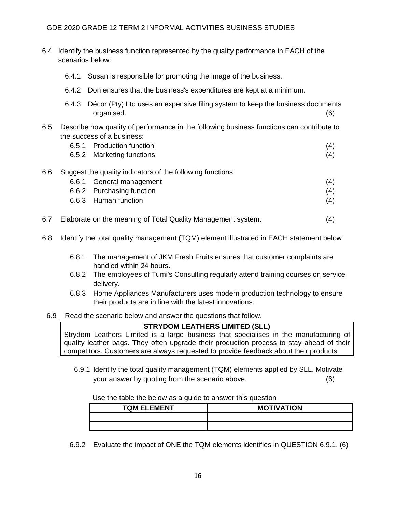# GDE 2020 GRADE 12 TERM 2 INFORMAL ACTIVITIES BUSINESS STUDIES

- 6.4 Identify the business function represented by the quality performance in EACH of the scenarios below:
	- 6.4.1 Susan is responsible for promoting the image of the business.
	- 6.4.2 Don ensures that the business's expenditures are kept at a minimum.
	- 6.4.3 Décor (Pty) Ltd uses an expensive filing system to keep the business documents organised. (6)
- 6.5 Describe how quality of performance in the following business functions can contribute to the success of a business:
	- 6.5.1 Production function (4) 6.5.2 Marketing functions (4)
- 6.6 Suggest the quality indicators of the following functions
	- 6.6.1 General management (4) (6.6.1 General management of  $(4)$ 6.6.2 Purchasing function (4) 6.6.3 Human function (4)
- 6.7 Elaborate on the meaning of Total Quality Management system. (4)
- 6.8 Identify the total quality management (TQM) element illustrated in EACH statement below
	- 6.8.1 The management of JKM Fresh Fruits ensures that customer complaints are handled within 24 hours.
	- 6.8.2 The employees of Tumi's Consulting regularly attend training courses on service delivery.
	- 6.8.3 Home Appliances Manufacturers uses modern production technology to ensure their products are in line with the latest innovations.
- 6.9 Read the scenario below and answer the questions that follow.

### **STRYDOM LEATHERS LIMITED (SLL)**

Strydom Leathers Limited is a large business that specialises in the manufacturing of quality leather bags. They often upgrade their production process to stay ahead of their competitors. Customers are always requested to provide feedback about their products

6.9.1 Identify the total quality management (TQM) elements applied by SLL. Motivate your answer by quoting from the scenario above. (6)

#### Use the table the below as a guide to answer this question

| <b>TQM ELEMENT</b> | <b>MOTIVATION</b> |  |
|--------------------|-------------------|--|
|                    |                   |  |
|                    |                   |  |

6.9.2 Evaluate the impact of ONE the TQM elements identifies in QUESTION 6.9.1. (6)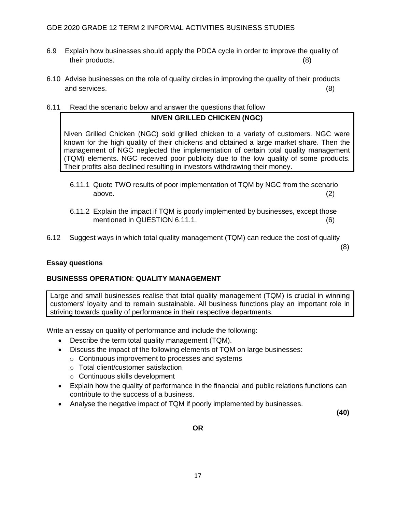- 6.9 Explain how businesses should apply the PDCA cycle in order to improve the quality of their products. (8)
- 6.10 Advise businesses on the role of quality circles in improving the quality of their products and services. (8)
- 6.11 Read the scenario below and answer the questions that follow

# **NIVEN GRILLED CHICKEN (NGC)**

Niven Grilled Chicken (NGC) sold grilled chicken to a variety of customers. NGC were known for the high quality of their chickens and obtained a large market share. Then the management of NGC neglected the implementation of certain total quality management (TQM) elements. NGC received poor publicity due to the low quality of some products. Their profits also declined resulting in investors withdrawing their money.

- 6.11.1 Quote TWO results of poor implementation of TQM by NGC from the scenario above. (2)
- 6.11.2 Explain the impact if TQM is poorly implemented by businesses, except those mentioned in QUESTION 6.11.1. (6)
- 6.12 Suggest ways in which total quality management (TQM) can reduce the cost of quality

(8)

# **Essay questions**

# **BUSINESSS OPERATION**: **QUALITY MANAGEMENT**

Large and small businesses realise that total quality management (TQM) is crucial in winning customers' loyalty and to remain sustainable. All business functions play an important role in striving towards quality of performance in their respective departments.

Write an essay on quality of performance and include the following:

- Describe the term total quality management (TQM).
- Discuss the impact of the following elements of TQM on large businesses:
	- o Continuous improvement to processes and systems
	- o Total client/customer satisfaction
	- o Continuous skills development
- Explain how the quality of performance in the financial and public relations functions can contribute to the success of a business.
- Analyse the negative impact of TQM if poorly implemented by businesses.

**(40)**

**OR**